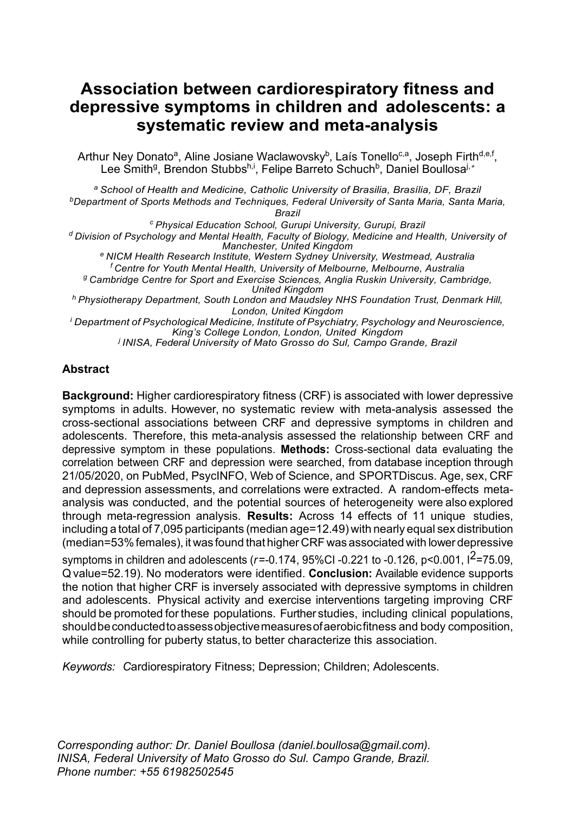# **Association between cardiorespiratory fitness and depressive symptoms in children and adolescents: a systematic review and meta-analysis**

Arthur Ney Donato<sup>a</sup>, Aline Josiane Waclawovsky<sup>b</sup>, Laís Tonello<sup>c,a</sup>, Joseph Firth<sup>d,e,f</sup>, Lee Smith<sup>g</sup>, Brendon Stubbs<sup>h,i</sup>, Felipe Barreto Schuch<sup>b</sup>, Daniel Boullosa<sup>j,</sup>\*

*a School of Health and Medicine, Catholic University of Brasilia, Brasília, DF, Brazil bDepartment of Sports Methods and Techniques, Federal University of Santa Maria, Santa Maria, Brazil*

*c Physical Education School, Gurupi University, Gurupi, Brazil d Division of Psychology and Mental Health, Faculty of Biology, Medicine and Health, University of*   $e$  NICM Health Research Institute, Western Sydney University, Westmead, Australia

*f Centre for Youth Mental Health, University of Melbourne, Melbourne, Australia g Cambridge Centre for Sport and Exercise Sciences, Anglia Ruskin University, Cambridge, United Kingdom*

*h Physiotherapy Department, South London and Maudsley NHS Foundation Trust, Denmark Hill, London, United Kingdom*

*<sup>i</sup> Department of Psychological Medicine, Institute of Psychiatry, Psychology and Neuroscience, King's College London, London, United Kingdom j INISA, Federal University of Mato Grosso do Sul, Campo Grande, Brazil*

# **Abstract**

**Background:** Higher cardiorespiratory fitness (CRF) is associated with lower depressive symptoms in adults. However, no systematic review with meta-analysis assessed the cross-sectional associations between CRF and depressive symptoms in children and adolescents. Therefore, this meta-analysis assessed the relationship between CRF and depressive symptom in these populations. **Methods:** Cross-sectional data evaluating the correlation between CRF and depression were searched, from database inception through 21/05/2020, on PubMed, PsycINFO, Web of Science, and SPORTDiscus. Age, sex, CRF and depression assessments, and correlations were extracted. A random-effects metaanalysis was conducted, and the potential sources of heterogeneity were also explored through meta-regression analysis. **Results:** Across 14 effects of 11 unique studies, including a total of 7,095 participants (median age=12.49) with nearly equal sex distribution (median=53% females), it was found that higher CRF was associated with lower depressive

symptoms in children and adolescents (*r*=-0.174, 95%CI -0.221 to -0.126, p<0.001, I 2=75.09, Q value=52.19). No moderators were identified. **Conclusion:** Available evidence supports the notion that higher CRF is inversely associated with depressive symptoms in children and adolescents. Physical activity and exercise interventions targeting improving CRF should be promoted for these populations. Further studies, including clinical populations, shouldbeconductedtoassessobjectivemeasuresofaerobicfitness and body composition, while controlling for puberty status, to better characterize this association.

*Keywords: C*ardiorespiratory Fitness; Depression; Children; Adolescents.

*Corresponding author: Dr. Daniel Boullosa (daniel.boullosa@gmail.com). INISA, Federal University of Mato Grosso do Sul. Campo Grande, Brazil. Phone number: +55 61982502545*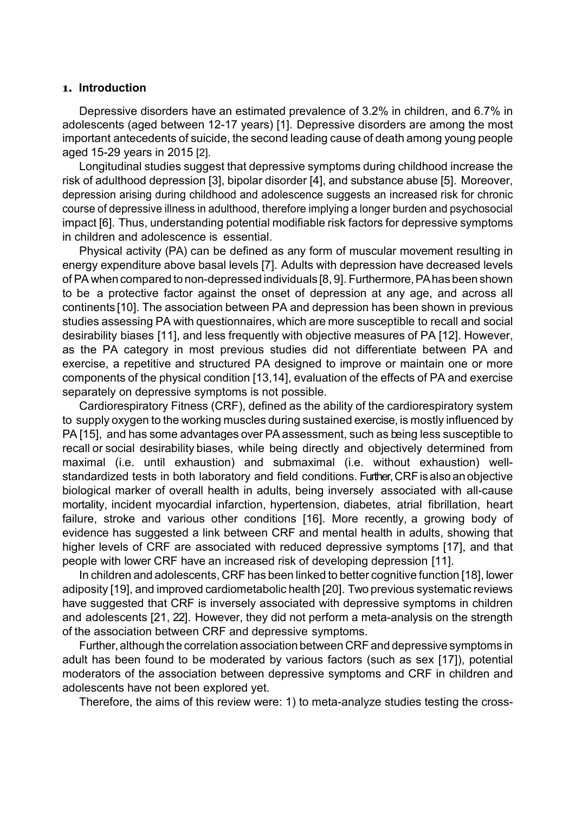#### **1. Introduction**

Depressive disorders have an estimated prevalence of 3.2% in children, and 6.7% in adolescents (aged between 12-17 years) [1]. Depressive disorders are among the most important antecedents of suicide, the second leading cause of death among young people aged 15-29 years in 2015 [2].

Longitudinal studies suggest that depressive symptoms during childhood increase the risk of adulthood depression [3], bipolar disorder [4], and substance abuse [5]. Moreover, depression arising during childhood and adolescence suggests an increased risk for chronic course of depressive illness in adulthood, therefore implying a longer burden and psychosocial impact [6]. Thus, understanding potential modifiable risk factors for depressive symptoms in children and adolescence is essential.

Physical activity (PA) can be defined as any form of muscular movement resulting in energy expenditure above basal levels [7]. Adults with depression have decreased levels of PA when compared to non-depressed individuals [8, 9]. Furthermore,PAhas been shown to be a protective factor against the onset of depression at any age, and across all continents [10]. The association between PA and depression has been shown in previous studies assessing PA with questionnaires, which are more susceptible to recall and social desirability biases [11], and less frequently with objective measures of PA [12]. However, as the PA category in most previous studies did not differentiate between PA and exercise, a repetitive and structured PA designed to improve or maintain one or more components of the physical condition [13,14], evaluation of the effects of PA and exercise separately on depressive symptoms is not possible.

Cardiorespiratory Fitness (CRF), defined as the ability of the cardiorespiratory system to supply oxygen to the working muscles during sustained exercise, is mostly influenced by PA [15], and has some advantages over PAassessment, such as being less susceptible to recall or social desirability biases, while being directly and objectively determined from maximal (i.e. until exhaustion) and submaximal (i.e. without exhaustion) wellstandardized tests in both laboratory and field conditions. Further, CRF is also an objective biological marker of overall health in adults, being inversely associated with all-cause mortality, incident myocardial infarction, hypertension, diabetes, atrial fibrillation, heart failure, stroke and various other conditions [16]. More recently, a growing body of evidence has suggested a link between CRF and mental health in adults, showing that higher levels of CRF are associated with reduced depressive symptoms [17], and that people with lower CRF have an increased risk of developing depression [11].

In children and adolescents, CRF has been linked to better cognitive function [18], lower adiposity [19], and improved cardiometabolic health [20]. Two previous systematic reviews have suggested that CRF is inversely associated with depressive symptoms in children and adolescents [21, 22]. However, they did not perform a meta-analysis on the strength of the association between CRF and depressive symptoms.

Further, although the correlation association between CRF and depressive symptoms in adult has been found to be moderated by various factors (such as sex [17]), potential moderators of the association between depressive symptoms and CRF in children and adolescents have not been explored yet.

Therefore, the aims of this review were: 1) to meta-analyze studies testing the cross-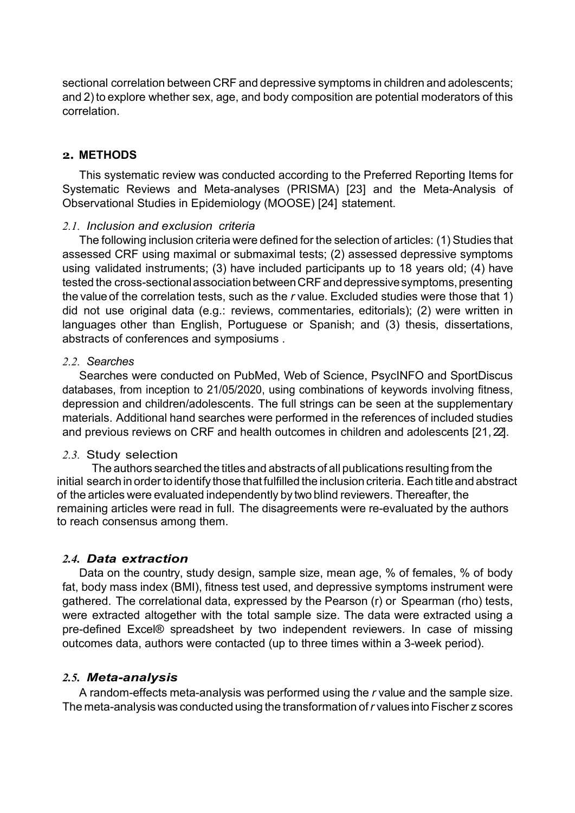sectional correlation between CRF and depressive symptoms in children and adolescents; and 2) to explore whether sex, age, and body composition are potential moderators of this correlation.

#### **2. METHODS**

This systematic review was conducted according to the Preferred Reporting Items for Systematic Reviews and Meta-analyses (PRISMA) [23] and the Meta-Analysis of Observational Studies in Epidemiology (MOOSE) [24] statement.

#### *2.1. Inclusion and exclusion criteria*

The following inclusion criteria were defined for the selection of articles: (1) Studies that assessed CRF using maximal or submaximal tests; (2) assessed depressive symptoms using validated instruments; (3) have included participants up to 18 years old; (4) have tested the cross-sectional association between CRF and depressive symptoms, presenting the value of the correlation tests, such as the *r* value. Excluded studies were those that 1) did not use original data (e.g.: reviews, commentaries, editorials); (2) were written in languages other than English, Portuguese or Spanish; and (3) thesis, dissertations, abstracts of conferences and symposiums .

#### *2.2. Searches*

Searches were conducted on PubMed, Web of Science, PsycINFO and SportDiscus databases, from inception to 21/05/2020, using combinations of keywords involving fitness, depression and children/adolescents. The full strings can be seen at the supplementary materials. Additional hand searches were performed in the references of included studies and previous reviews on CRF and health outcomes in children and adolescents [21, 22].

# *2.3.* Study selection

The authors searched the titles and abstracts of all publications resulting from the initial search in order to identify those that fulfilled the inclusion criteria. Each title and abstract of the articles were evaluated independently by two blind reviewers. Thereafter, the remaining articles were read in full. The disagreements were re-evaluated by the authors to reach consensus among them.

# *2.4. Data extraction*

Data on the country, study design, sample size, mean age, % of females, % of body fat, body mass index (BMI), fitness test used, and depressive symptoms instrument were gathered. The correlational data, expressed by the Pearson (r) or Spearman (rho) tests, were extracted altogether with the total sample size. The data were extracted using a pre-defined Excel® spreadsheet by two independent reviewers. In case of missing outcomes data, authors were contacted (up to three times within a 3-week period).

# *2.5. Meta-analysis*

A random-effects meta-analysis was performed using the *r* value and the sample size. The meta-analysis was conducted using the transformation of*r* values into Fischer z scores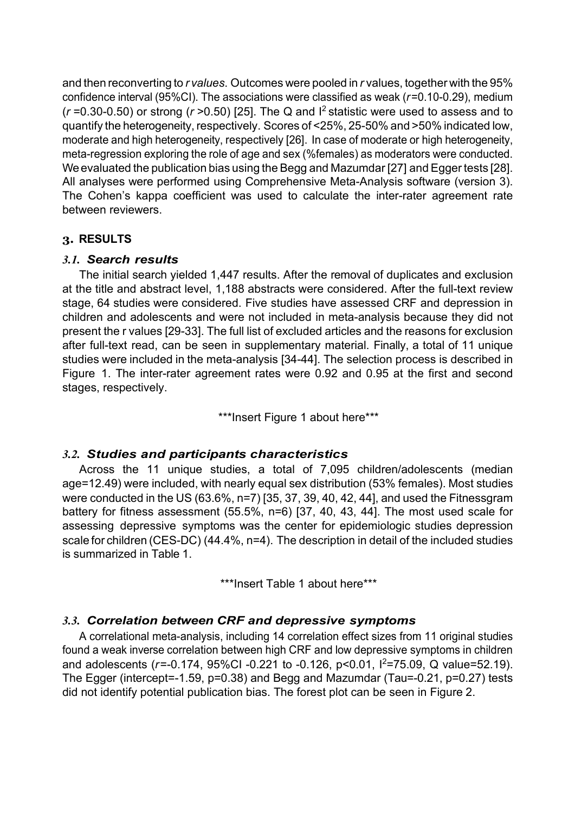and then reconverting to *r values*. Outcomes were pooled in *r* values, together with the 95% confidence interval (95%CI). The associations were classified as weak (*r*=0.10-0.29), medium  $(r=0.30-0.50)$  or strong  $(r>0.50)$  [25]. The Q and  $l^2$  statistic were used to assess and to quantify the heterogeneity, respectively. Scores of <25%, 25-50% and >50% indicated low, moderate and high heterogeneity, respectively [26]. In case of moderate or high heterogeneity, meta-regression exploring the role of age and sex (%females) as moderators were conducted. We evaluated the publication bias using the Begg and Mazumdar [27] and Egger tests [28]. All analyses were performed using Comprehensive Meta-Analysis software (version 3). The Cohen's kappa coefficient was used to calculate the inter-rater agreement rate between reviewers.

# **3. RESULTS**

# *3.1. Search results*

The initial search yielded 1,447 results. After the removal of duplicates and exclusion at the title and abstract level, 1,188 abstracts were considered. After the full-text review stage, 64 studies were considered. Five studies have assessed CRF and depression in children and adolescents and were not included in meta-analysis because they did not present the r values [29-33]. The full list of excluded articles and the reasons for exclusion after full-text read, can be seen in supplementary material. Finally, a total of 11 unique studies were included in the meta-analysis [34-44]. The selection process is described in Figure 1. The inter-rater agreement rates were 0.92 and 0.95 at the first and second stages, respectively.

\*\*\*Insert Figure 1 about here\*\*\*

# *3.2. Studies and participants characteristics*

Across the 11 unique studies, a total of 7,095 children/adolescents (median age=12.49) were included, with nearly equal sex distribution (53% females). Most studies were conducted in the US (63.6%, n=7) [35, 37, 39, 40, 42, 44], and used the Fitnessgram battery for fitness assessment (55.5%, n=6) [37, 40, 43, 44]. The most used scale for assessing depressive symptoms was the center for epidemiologic studies depression scale for children (CES-DC) (44.4%, n=4). The description in detail of the included studies is summarized in Table 1.

\*\*\*Insert Table 1 about here\*\*\*

# *3.3. Correlation between CRF and depressive symptoms*

A correlational meta-analysis, including 14 correlation effect sizes from 11 original studies found a weak inverse correlation between high CRF and low depressive symptoms in children and adolescents (*r*=-0.174, 95%CI -0.221 to -0.126, p<0.01, I 2 =75.09, Q value=52.19). The Egger (intercept=-1.59, p=0.38) and Begg and Mazumdar (Tau=-0.21, p=0.27) tests did not identify potential publication bias. The forest plot can be seen in Figure 2.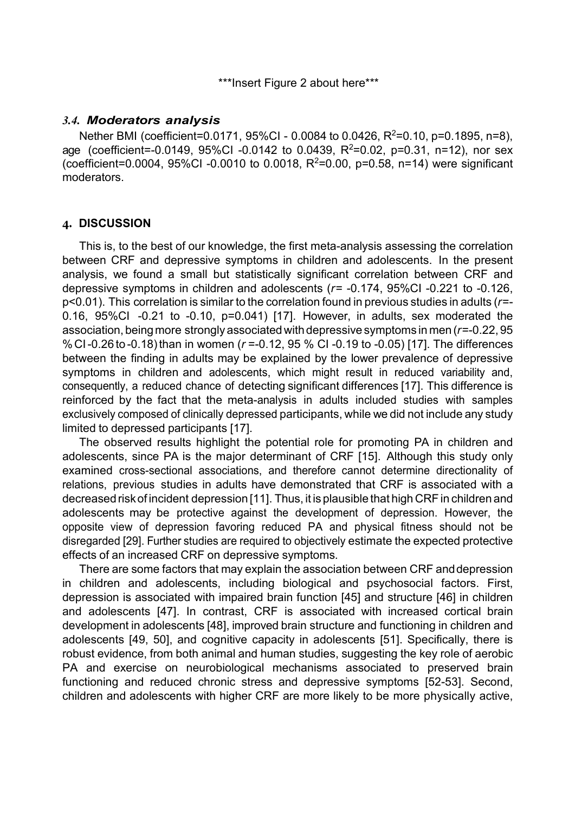\*\*\*Insert Figure 2 about here\*\*\*

#### *3.4. Moderators analysis*

Nether BMI (coefficient=0.0171, 95%CI - 0.0084 to 0.0426, R<sup>2</sup>=0.10, p=0.1895, n=8), age (coefficient=-0.0149, 95%Cl -0.0142 to 0.0439, R<sup>2</sup>=0.02, p=0.31, n=12), nor sex (coefficient=0.0004, 95%Cl -0.0010 to 0.0018, R<sup>2</sup>=0.00, p=0.58, n=14) were significant moderators.

# **4. DISCUSSION**

This is, to the best of our knowledge, the first meta-analysis assessing the correlation between CRF and depressive symptoms in children and adolescents. In the present analysis, we found a small but statistically significant correlation between CRF and depressive symptoms in children and adolescents (*r*= -0.174, 95%CI -0.221 to -0.126, p<0.01). This correlation is similar to the correlation found in previous studies in adults (*r*=- 0.16, 95%CI -0.21 to -0.10, p=0.041) [17]. However, in adults, sex moderated the association, being more strongly associated with depressive symptoms in men ( $r=0.22$ , 95 % CI-0.26 to -0.18)than in women (*r* =-0.12, 95 % CI -0.19 to -0.05) [17]. The differences between the finding in adults may be explained by the lower prevalence of depressive symptoms in children and adolescents, which might result in reduced variability and, consequently, a reduced chance of detecting significant differences [17]. This difference is reinforced by the fact that the meta-analysis in adults included studies with samples exclusively composed of clinically depressed participants, while we did not include any study limited to depressed participants [17].

The observed results highlight the potential role for promoting PA in children and adolescents, since PA is the major determinant of CRF [15]. Although this study only examined cross-sectional associations, and therefore cannot determine directionality of relations, previous studies in adults have demonstrated that CRF is associated with a decreased risk of incident depression [11]. Thus, it is plausible that high CRF in children and adolescents may be protective against the development of depression. However, the opposite view of depression favoring reduced PA and physical fitness should not be disregarded [29]. Further studies are required to objectively estimate the expected protective effects of an increased CRF on depressive symptoms.

There are some factors that may explain the association between CRF anddepression in children and adolescents, including biological and psychosocial factors. First, depression is associated with impaired brain function [45] and structure [46] in children and adolescents [47]. In contrast, CRF is associated with increased cortical brain development in adolescents [48], improved brain structure and functioning in children and adolescents [49, 50], and cognitive capacity in adolescents [51]. Specifically, there is robust evidence, from both animal and human studies, suggesting the key role of aerobic PA and exercise on neurobiological mechanisms associated to preserved brain functioning and reduced chronic stress and depressive symptoms [52-53]. Second, children and adolescents with higher CRF are more likely to be more physically active,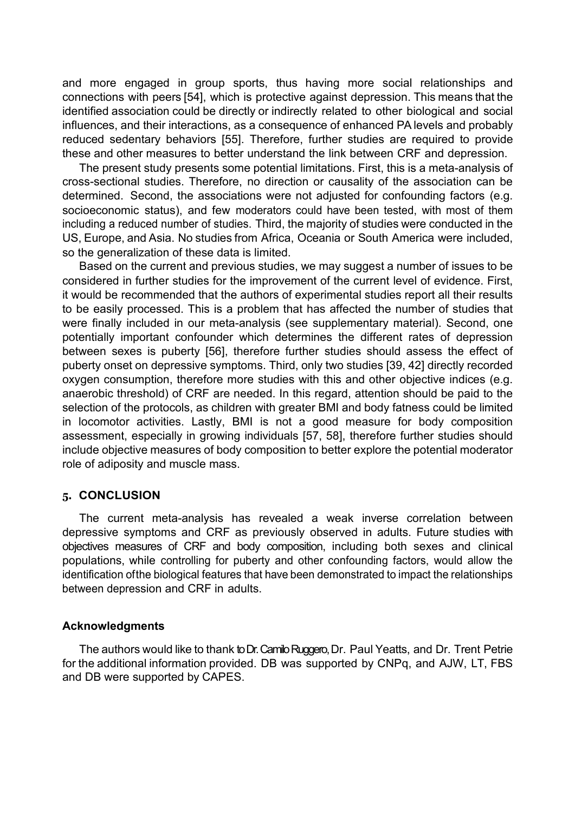and more engaged in group sports, thus having more social relationships and connections with peers [54], which is protective against depression. This means that the identified association could be directly or indirectly related to other biological and social influences, and their interactions, as a consequence of enhanced PA levels and probably reduced sedentary behaviors [55]. Therefore, further studies are required to provide these and other measures to better understand the link between CRF and depression.

The present study presents some potential limitations. First, this is a meta-analysis of cross-sectional studies. Therefore, no direction or causality of the association can be determined. Second, the associations were not adjusted for confounding factors (e.g. socioeconomic status), and few moderators could have been tested, with most of them including a reduced number of studies. Third, the majority of studies were conducted in the US, Europe, and Asia. No studies from Africa, Oceania or South America were included, so the generalization of these data is limited.

Based on the current and previous studies, we may suggest a number of issues to be considered in further studies for the improvement of the current level of evidence. First, it would be recommended that the authors of experimental studies report all their results to be easily processed. This is a problem that has affected the number of studies that were finally included in our meta-analysis (see supplementary material). Second, one potentially important confounder which determines the different rates of depression between sexes is puberty [56], therefore further studies should assess the effect of puberty onset on depressive symptoms. Third, only two studies [39, 42] directly recorded oxygen consumption, therefore more studies with this and other objective indices (e.g. anaerobic threshold) of CRF are needed. In this regard, attention should be paid to the selection of the protocols, as children with greater BMI and body fatness could be limited in locomotor activities. Lastly, BMI is not a good measure for body composition assessment, especially in growing individuals [57, 58], therefore further studies should include objective measures of body composition to better explore the potential moderator role of adiposity and muscle mass.

#### **5. CONCLUSION**

The current meta-analysis has revealed a weak inverse correlation between depressive symptoms and CRF as previously observed in adults. Future studies with objectives measures of CRF and body composition, including both sexes and clinical populations, while controlling for puberty and other confounding factors, would allow the identification ofthe biological features that have been demonstrated to impact the relationships between depression and CRF in adults.

#### **Acknowledgments**

The authors would like to thank to Dr. Camilo Ruggero, Dr. Paul Yeatts, and Dr. Trent Petrie for the additional information provided. DB was supported by CNPq, and AJW, LT, FBS and DB were supported by CAPES.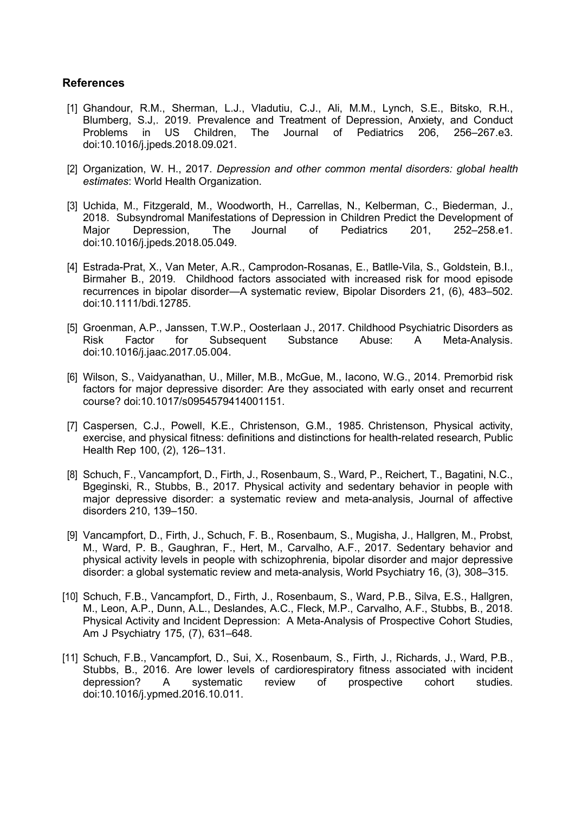#### **References**

- [1] Ghandour, R.M., Sherman, L.J., Vladutiu, C.J., Ali, M.M., Lynch, S.E., Bitsko, R.H., Blumberg, S.J,. 2019. Prevalence and Treatment of Depression, Anxiety, and Conduct Problems in US Children, The Journal of Pediatrics 206, 256–267.e3. Problems in US Children, The Journal of Pediatrics 206, 256–267.e3. doi:10.1016/j.jpeds.2018.09.021.
- [2] Organization, W. H., 2017. *Depression and other common mental disorders: global health estimates*: World Health Organization.
- [3] Uchida, M., Fitzgerald, M., Woodworth, H., Carrellas, N., Kelberman, C., Biederman, J., 2018. Subsyndromal Manifestations of Depression in Children Predict the Development of Maior Children Depression. The Journal of Pediatrics 201. 252–258.e1. Major Depression, The Journal of Pediatrics 201, 252–258.e1. doi:10.1016/j.jpeds.2018.05.049.
- [4] Estrada-Prat, X., Van Meter, A.R., Camprodon-Rosanas, E., Batlle-Vila, S., Goldstein, B.I., Birmaher B., 2019. Childhood factors associated with increased risk for mood episode recurrences in bipolar disorder—A systematic review, Bipolar Disorders 21, (6), 483–502. doi:10.1111/bdi.12785.
- [5] Groenman, A.P., Janssen, T.W.P., Oosterlaan J., 2017. Childhood Psychiatric Disorders as Risk Factor for Subsequent Substance Abuse: A Meta-Analysis. doi:10.1016/j.jaac.2017.05.004.
- [6] Wilson, S., Vaidyanathan, U., Miller, M.B., McGue, M., Iacono, W.G., 2014. Premorbid risk factors for major depressive disorder: Are they associated with early onset and recurrent course? doi:10.1017/s0954579414001151.
- [7] Caspersen, C.J., Powell, K.E., Christenson, G.M., 1985. Christenson, Physical activity, exercise, and physical fitness: definitions and distinctions for health-related research, Public Health Rep 100, (2), 126–131.
- [8] Schuch, F., Vancampfort, D., Firth, J., Rosenbaum, S., Ward, P., Reichert, T.[, Bagatini,](about:blank#!) N.C., [Bgeginski,](about:blank#!) R., Stubbs, B., 2017. Physical activity and sedentary behavior in people with major depressive disorder: a systematic review and meta-analysis, Journal of affective disorders 210, 139–150.
- [9] Vancampfort, D., Firth, J., Schuch, F. B., Rosenbaum, S., Mugisha, J., Hallgren, M., Probst, M., Ward, P. B., Gaughran, F., Hert, M., Carvalho, A.F., 2017. Sedentary behavior and physical activity levels in people with schizophrenia, bipolar disorder and major depressive disorder: a global systematic review and meta-analysis, World Psychiatry 16, (3), 308–315.
- [10] Schuch, F.B., Vancampfort, D., Firth, J., Rosenbaum, S., Ward, P.B., Silva, E.S., Hallgren, M., Leon, A.P., Dunn, A.L., Deslandes, A.C., Fleck, M.P., Carvalho, A.F., Stubbs, B., 2018. Physical Activity and Incident Depression: A Meta-Analysis of Prospective Cohort Studies, Am J Psychiatry 175, (7), 631–648.
- [11] Schuch, F.B., Vancampfort, D., Sui, X., Rosenbaum, S., Firth, J., Richards, J., Ward, P.B., Stubbs, B., 2016. Are lower levels of cardiorespiratory fitness associated with incident depression? A systematic review of prospective cohort studies. A systematic review of prospective cohort studies. doi:10.1016/j.ypmed.2016.10.011.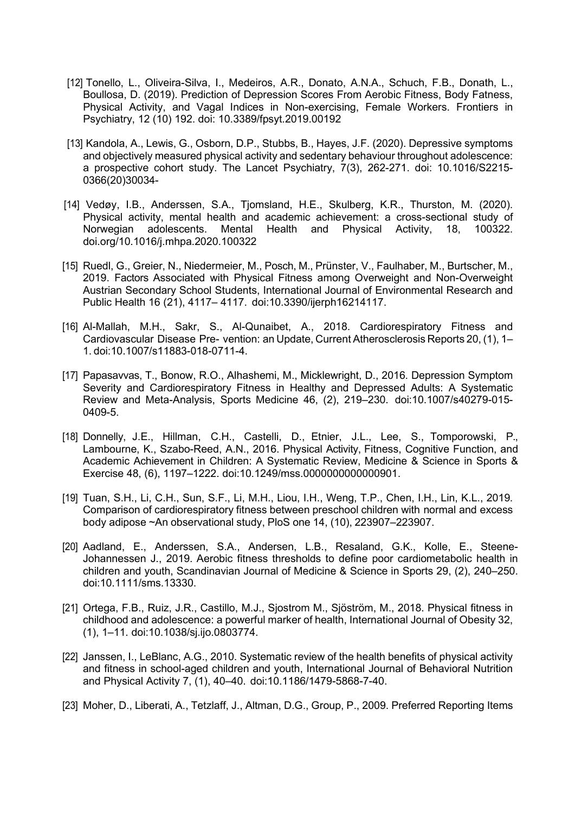- [12] Tonello, L., Oliveira-Silva, I., Medeiros, A.R., Donato, A.N.A., Schuch, F.B., Donath, L., Boullosa, D. (2019). Prediction of Depression Scores From Aerobic Fitness, Body Fatness, Physical Activity, and Vagal Indices in Non-exercising, Female Workers. Frontiers in Psychiatry, 12 (10) 192. doi: 10.3389/fpsyt.2019.00192
- [13] Kandola, A., Lewis, G., Osborn, D.P., Stubbs, B., Hayes, J.F. (2020). Depressive symptoms and objectively measured physical activity and sedentary behaviour throughout adolescence: a prospective cohort study. The Lancet Psychiatry, 7(3), 262-271. doi: 10.1016/S2215- 0366(20)30034-
- [14] Vedøy, I.B., Anderssen, S.A., Tjomsland, H.E., Skulberg, K.R., Thurston, M. (2020). Physical activity, mental health and academic achievement: a cross-sectional study of Mental Health and Physical Activity, 18, 100322. doi.org/10.1016/j.mhpa.2020.100322
- [15] Ruedl, G., Greier, N., Niedermeier, M., Posch, M., Prünster, V., Faulhaber, M., Burtscher, M., 2019. Factors Associated with Physical Fitness among Overweight and Non-Overweight Austrian Secondary School Students, International Journal of Environmental Research and Public Health 16 (21), 4117– 4117. doi:10.3390/ijerph16214117.
- [16] Al-Mallah, M.H., Sakr, S., Al-Qunaibet, A., 2018. Cardiorespiratory Fitness and Cardiovascular Disease Pre- vention: an Update, Current Atherosclerosis Reports 20, (1), 1– 1. doi:10.1007/s11883-018-0711-4.
- [17] Papasavvas, T., Bonow, R.O., Alhashemi, M., Micklewright, D., 2016. Depression Symptom Severity and Cardiorespiratory Fitness in Healthy and Depressed Adults: A Systematic Review and Meta-Analysis, Sports Medicine 46, (2), 219–230. doi:10.1007/s40279-015- 0409-5.
- [18] Donnelly, J.E., Hillman, C.H., Castelli, D., Etnier, J.L., Lee, S., Tomporowski, P., Lambourne, K., Szabo-Reed, A.N., 2016. Physical Activity, Fitness, Cognitive Function, and Academic Achievement in Children: A Systematic Review, Medicine & Science in Sports & Exercise 48, (6), 1197–1222. doi:10.1249/mss.0000000000000901.
- [19] Tuan, S.H., Li, C.H., Sun, S.F., Li, M.H., Liou, I.H., Weng, T.P., Chen, I.H., Lin, K.L., 2019. Comparison of cardiorespiratory fitness between preschool children with normal and excess body adipose ~An observational study, PloS one 14, (10), 223907–223907.
- [20] Aadland, E., Anderssen, S.A., Andersen, L.B., Resaland, G.K., Kolle, E., Steene-Johannessen J., 2019. Aerobic fitness thresholds to define poor cardiometabolic health in children and youth, Scandinavian Journal of Medicine & Science in Sports 29, (2), 240–250. doi:10.1111/sms.13330.
- [21] Ortega, F.B., Ruiz, J.R., Castillo, M.J., Sjostrom M., Sjöström, M., 2018. Physical fitness in childhood and adolescence: a powerful marker of health, International Journal of Obesity 32, (1), 1–11. doi:10.1038/sj.ijo.0803774.
- [22] Janssen, I., LeBlanc, A.G., 2010. Systematic review of the health benefits of physical activity and fitness in school-aged children and youth, International Journal of Behavioral Nutrition and Physical Activity 7, (1), 40–40. doi:10.1186/1479-5868-7-40.
- [23] Moher, D., Liberati, A., Tetzlaff, J., Altman, D.G., Group, P., 2009. Preferred Reporting Items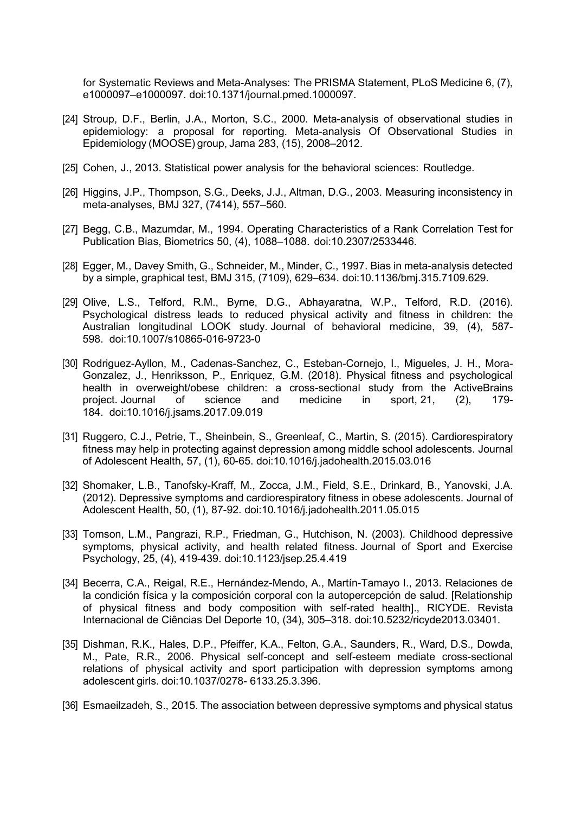for Systematic Reviews and Meta-Analyses: The PRISMA Statement, PLoS Medicine 6, (7), e1000097–e1000097. doi:10.1371/journal.pmed.1000097.

- [24] Stroup, D.F., Berlin, J.A., Morton, S.C., 2000. Meta-analysis of observational studies in epidemiology: a proposal for reporting. Meta-analysis Of Observational Studies in Epidemiology (MOOSE) group, Jama 283, (15), 2008–2012.
- [25] Cohen, J., 2013. Statistical power analysis for the behavioral sciences: Routledge.
- [26] Higgins, J.P., Thompson, S.G., Deeks, J.J., Altman, D.G., 2003. Measuring inconsistency in meta-analyses, BMJ 327, (7414), 557–560.
- [27] Begg, C.B., Mazumdar, M., 1994. Operating Characteristics of a Rank Correlation Test for Publication Bias, Biometrics 50, (4), 1088–1088. doi:10.2307/2533446.
- [28] Egger, M., Davey Smith, G., Schneider, M., Minder, C., 1997. Bias in meta-analysis detected by a simple, graphical test, BMJ 315, (7109), 629–634. doi:10.1136/bmj.315.7109.629.
- [29] Olive, L.S., Telford, R.M., Byrne, D.G., Abhayaratna, W.P., Telford, R.D. (2016). Psychological distress leads to reduced physical activity and fitness in children: the Australian longitudinal LOOK study. Journal of behavioral medicine, 39, (4), 587- 598. doi:10.1007/s10865-016-9723-0
- [30] Rodriguez-Ayllon, M., Cadenas-Sanchez, C., Esteban-Cornejo, I., Migueles, J. H., Mora-Gonzalez, J., Henriksson, P., Enriquez, G.M. (2018). Physical fitness and psychological health in overweight/obese children: a cross-sectional study from the ActiveBrains project. Journal of science and medicine in sport, 21, (2), 179- 184. doi[:10.1016/j.jsams.2017.09.019](https://doi.org/10.1016/j.jsams.2017.09.019)
- [31] Ruggero, C.J., Petrie, T., Sheinbein, S., Greenleaf, C., Martin, S. (2015). Cardiorespiratory fitness may help in protecting against depression among middle school adolescents. Journal of Adolescent Health, 57, (1), 60-65. doi[:10.1016/j.jadohealth.2015.03.016](https://doi.org/10.1016/j.jadohealth.2015.03.016)
- [32] Shomaker, L.B., Tanofsky-Kraff, M., Zocca, J.M., Field, S.E., Drinkard, B., Yanovski, J.A. (2012). Depressive symptoms and cardiorespiratory fitness in obese adolescents. Journal of Adolescent Health, 50, (1), 87-92. doi[:10.1016/j.jadohealth.2011.05.015](https://dx.doi.org/10.1016%2Fj.jadohealth.2011.05.015)
- [33] Tomson, L.M., Pangrazi, R.P., Friedman, G., Hutchison, N. (2003). Childhood depressive symptoms, physical activity, and health related fitness. Journal of Sport and Exercise Psychology, 25, (4), 419-439. doi[:10.1123/jsep.25.4.419](https://www.researchgate.net/deref/http%3A%2F%2Fdx.doi.org%2F10.1123%2Fjsep.25.4.419)
- [34] Becerra, C.A., Reigal, R.E., Hernández-Mendo, A., Martín-Tamayo I., 2013. Relaciones de la condición física y la composición corporal con la autopercepción de salud. [Relationship of physical fitness and body composition with self-rated health]., RICYDE. Revista Internacional de Ciências Del Deporte 10, (34), 305–318. doi:10.5232/ricyde2013.03401.
- [35] Dishman, R.K., Hales, D.P., Pfeiffer, K.A., Felton, G.A., Saunders, R., Ward, D.S., Dowda, M., Pate, R.R., 2006. Physical self-concept and self-esteem mediate cross-sectional relations of physical activity and sport participation with depression symptoms among adolescent girls. doi:10.1037/0278- 6133.25.3.396.
- [36] Esmaeilzadeh, S., 2015. The association between depressive symptoms and physical status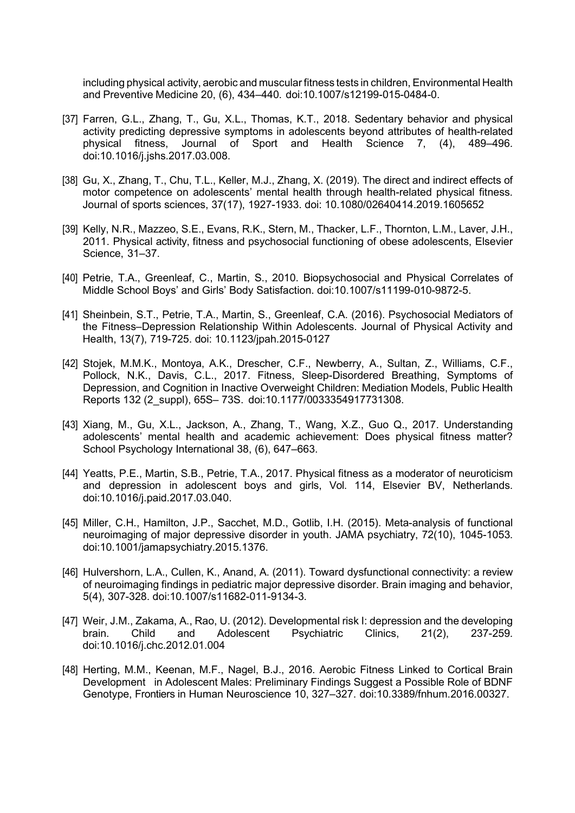including physical activity, aerobic and muscular fitness tests in children, Environmental Health and Preventive Medicine 20, (6), 434–440. doi:10.1007/s12199-015-0484-0.

- [37] Farren, G.L., Zhang, T., Gu, X.L., Thomas, K.T., 2018. Sedentary behavior and physical activity predicting depressive symptoms in adolescents beyond attributes of health-related<br>physical fitness, Journal of Sport and Health Science 7, (4), 489–496. physical fitness, Journal of Sport and Health Science 7, (4), doi:10.1016/j.jshs.2017.03.008.
- [38] Gu, X., Zhang, T., Chu, T.L., Keller, M.J., Zhang, X. (2019). The direct and indirect effects of motor competence on adolescents' mental health through health-related physical fitness. Journal of sports sciences, 37(17), 1927-1933. doi: 10.1080/02640414.2019.1605652
- [39] Kelly, N.R., Mazzeo, S.E., Evans, R.K., Stern, M., Thacker, L.F., Thornton, L.M., Laver, J.H., 2011. Physical activity, fitness and psychosocial functioning of obese adolescents, Elsevier Science, 31–37.
- [40] Petrie, T.A., Greenleaf, C., Martin, S., 2010. Biopsychosocial and Physical Correlates of Middle School Boys' and Girls' Body Satisfaction. doi:10.1007/s11199-010-9872-5.
- [41] Sheinbein, S.T., Petrie, T.A., Martin, S., Greenleaf, C.A. (2016). Psychosocial Mediators of the Fitness–Depression Relationship Within Adolescents. Journal of Physical Activity and Health, 13(7), 719-725. doi: 10.1123/jpah.2015-0127
- [42] Stojek, M.M.K., Montoya, A.K., Drescher, C.F., Newberry, A., Sultan, Z., Williams, C.F., Pollock, N.K., Davis, C.L., 2017. Fitness, Sleep-Disordered Breathing, Symptoms of Depression, and Cognition in Inactive Overweight Children: Mediation Models, Public Health Reports 132 (2\_suppl), 65S– 73S. doi:10.1177/0033354917731308.
- [43] Xiang, M., Gu, X.L., Jackson, A., Zhang, T., Wang, X.Z., Guo Q., 2017. Understanding adolescents' mental health and academic achievement: Does physical fitness matter? School Psychology International 38, (6), 647–663.
- [44] Yeatts, P.E., Martin, S.B., Petrie, T.A., 2017. Physical fitness as a moderator of neuroticism and depression in adolescent boys and girls, Vol. 114, Elsevier BV, Netherlands. doi:10.1016/j.paid.2017.03.040.
- [45] Miller, C.H., Hamilton, J.P., Sacchet, M.D., Gotlib, I.H. (2015). Meta-analysis of functional neuroimaging of major depressive disorder in youth. JAMA psychiatry, 72(10), 1045-1053. doi:10.1001/jamapsychiatry.2015.1376.
- [46] Hulvershorn, L.A., Cullen, K., Anand, A. (2011). Toward dysfunctional connectivity: a review of neuroimaging findings in pediatric major depressive disorder. Brain imaging and behavior, 5(4), 307-328. doi:10.1007/s11682-011-9134-3.
- [47] Weir, J.M., Zakama, A., Rao, U. (2012). Developmental risk I: depression and the developing brain. Child and Adolescent Psychiatric Clinics, 21(2), 237-259. doi:10.1016/j.chc.2012.01.004
- [48] Herting, M.M., Keenan, M.F., Nagel, B.J., 2016. Aerobic Fitness Linked to Cortical Brain Development in Adolescent Males: Preliminary Findings Suggest a Possible Role of BDNF Genotype, Frontiers in Human Neuroscience 10, 327–327. doi:10.3389/fnhum.2016.00327.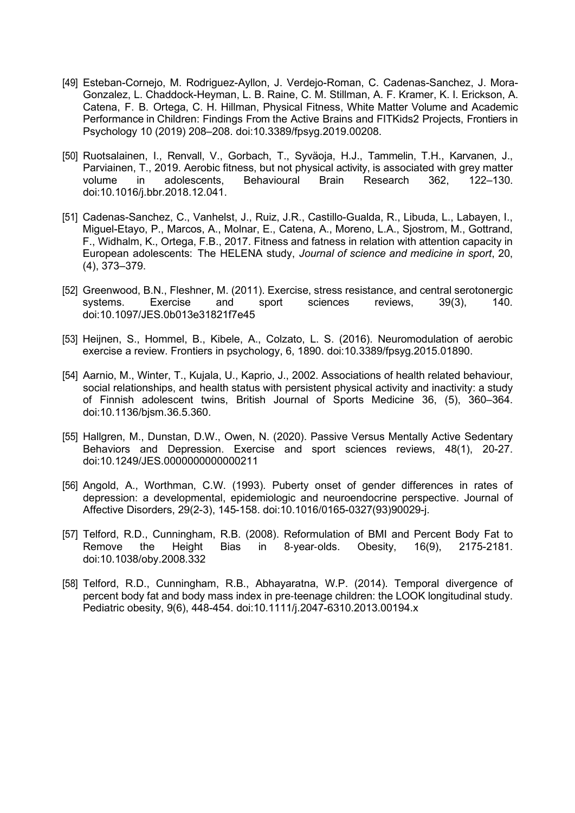- [49] Esteban-Cornejo, M. Rodriguez-Ayllon, J. Verdejo-Roman, C. Cadenas-Sanchez, J. Mora-Gonzalez, L. Chaddock-Heyman, L. B. Raine, C. M. Stillman, A. F. Kramer, K. I. Erickson, A. Catena, F. B. Ortega, C. H. Hillman, Physical Fitness, White Matter Volume and Academic Performance in Children: Findings From the Active Brains and FITKids2 Projects, Frontiers in Psychology 10 (2019) 208–208. doi:10.3389/fpsyg.2019.00208.
- [50] Ruotsalainen, I., Renvall, V., Gorbach, T., Syväoja, H.J., Tammelin, T.H., Karvanen, J., Parviainen, T., 2019. Aerobic fitness, but not physical activity, is associated with grey matter volume in adolescents. Behavioural Brain Research 362. 122–130. volume in adolescents, Behavioural Brain Research 362, 122–130. doi:10.1016/j.bbr.2018.12.041.
- [51] Cadenas-Sanchez, C., Vanhelst, J., Ruiz, J.R., Castillo-Gualda, R., Libuda, L., Labayen, I., Miguel-Etayo, P., Marcos, A., Molnar, E., Catena, A., Moreno, L.A., Sjostrom, M., Gottrand, F., Widhalm, K., Ortega, F.B., 2017. Fitness and fatness in relation with attention capacity in European adolescents: The HELENA study, *Journal of science and medicine in sport*, 20, (4), 373–379.
- [52] Greenwood, B.N., Fleshner, M. (2011). Exercise, stress resistance, and central serotonergic<br>systems. Exercise and sport sciences reviews. 39(3). 140. systems. Exercise and sport sciences reviews, 39(3), 140. doi:10.1097/JES.0b013e31821f7e45
- [53] Heijnen, S., Hommel, B., Kibele, A., Colzato, L. S. (2016). Neuromodulation of aerobic exercise a review. Frontiers in psychology, 6, 1890. doi:10.3389/fpsyg.2015.01890.
- [54] Aarnio, M., Winter, T., Kujala, U., Kaprio, J., 2002. Associations of health related behaviour, social relationships, and health status with persistent physical activity and inactivity: a study of Finnish adolescent twins, British Journal of Sports Medicine 36, (5), 360–364. doi:10.1136/bjsm.36.5.360.
- [55] Hallgren, M., Dunstan, D.W., Owen, N. (2020). Passive Versus Mentally Active Sedentary Behaviors and Depression. Exercise and sport sciences reviews, 48(1), 20-27. doi:10.1249/JES.0000000000000211
- [56] Angold, A., Worthman, C.W. (1993). Puberty onset of gender differences in rates of depression: a developmental, epidemiologic and neuroendocrine perspective. Journal of Affective Disorders, 29(2-3), 145-158. doi:10.1016/0165-0327(93)90029-j.
- [57] Telford, R.D., Cunningham, R.B. (2008). Reformulation of BMI and Percent Body Fat to<br>Remove the Height Bias in 8-vear-olds. Obesity. 16(9). 2175-2181. Remove the Height Bias in 8‐year‐olds. Obesity, 16(9), 2175-2181. doi:10.1038/oby.2008.332
- [58] Telford, R.D., Cunningham, R.B., Abhayaratna, W.P. (2014). Temporal divergence of percent body fat and body mass index in pre‐teenage children: the LOOK longitudinal study. Pediatric obesity, 9(6), 448-454. doi:10.1111/j.2047-6310.2013.00194.x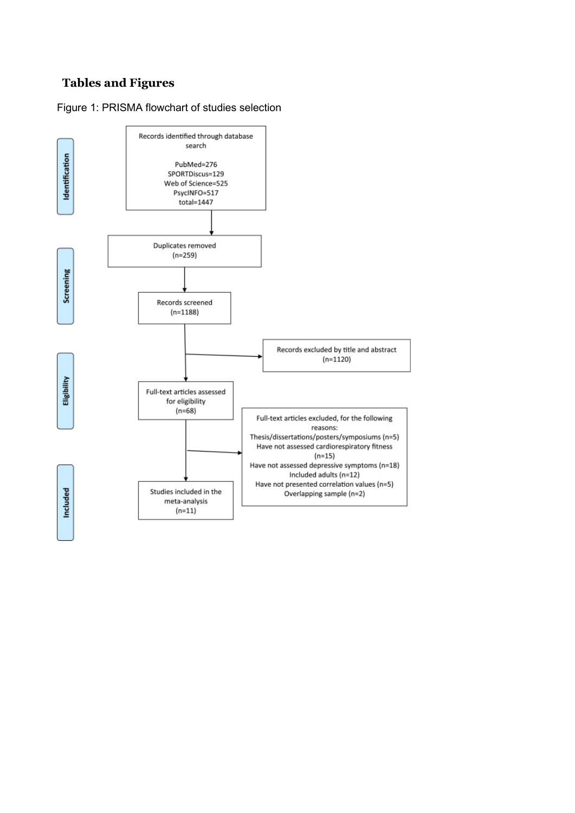# **Tables and Figures**

# Figure 1: PRISMA flowchart of studies selection

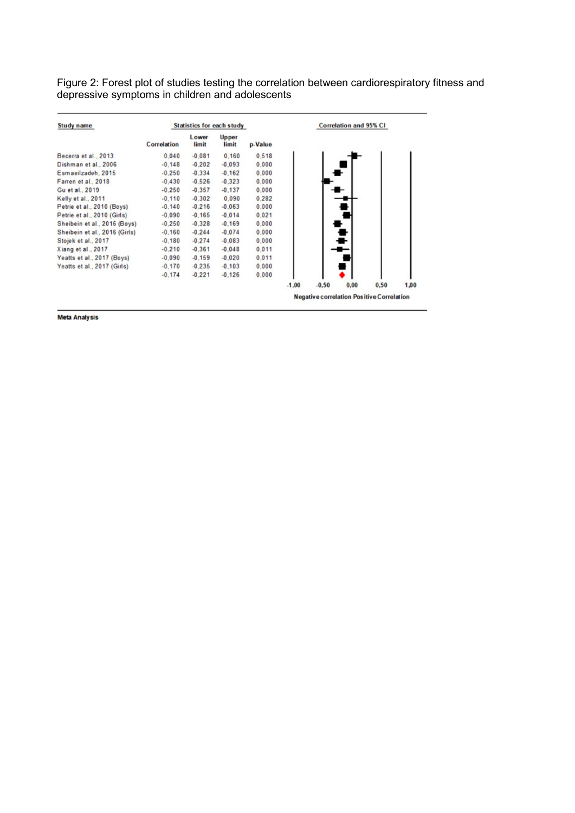Figure 2: Forest plot of studies testing the correlation between cardiorespiratory fitness and depressive symptoms in children and adolescents

| Study name                    | <b>Statistics for each study</b> |                | <b>Correlation and 95% CI</b> |         |         |                                                  |      |      |      |
|-------------------------------|----------------------------------|----------------|-------------------------------|---------|---------|--------------------------------------------------|------|------|------|
|                               | Correlation                      | Lower<br>limit | <b>Upper</b><br>limit         | p-Value |         |                                                  |      |      |      |
| Becerra et al., 2013          | 0.040                            | $-0.081$       | 0.160                         | 0.518   |         |                                                  |      |      |      |
| Dishman et al., 2006          | $-0.148$                         | $-0.202$       | $-0.093$                      | 0.000   |         |                                                  |      |      |      |
| Esmaeilzadeh, 2015            | $-0.250$                         | $-0.334$       | $-0.162$                      | 0.000   |         |                                                  |      |      |      |
| Farren et al., 2018           | $-0.430$                         | $-0.526$       | $-0.323$                      | 0.000   |         |                                                  |      |      |      |
| Gu et al., 2019               | $-0.250$                         | $-0.357$       | $-0.137$                      | 0.000   |         |                                                  |      |      |      |
| Kelly et al., 2011            | $-0.110$                         | $-0.302$       | 0.090                         | 0.282   |         |                                                  |      |      |      |
| Petrie et al., 2010 (Boys)    | $-0.140$                         | $-0,216$       | $-0.063$                      | 0.000   |         |                                                  |      |      |      |
| Petrie et al., 2010 (Girls)   | $-0.090$                         | $-0.165$       | $-0.014$                      | 0.021   |         |                                                  |      |      |      |
| Sheibein et al., 2016 (Boys)  | $-0.250$                         | $-0.328$       | $-0.169$                      | 0.000   |         |                                                  |      |      |      |
| Sheibein et al., 2016 (Girls) | $-0.160$                         | $-0.244$       | $-0.074$                      | 0.000   |         |                                                  |      |      |      |
| Stojek et al., 2017           | $-0,180$                         | $-0.274$       | $-0.083$                      | 0,000   |         |                                                  |      |      |      |
| Xiang et al., 2017            | $-0.210$                         | $-0.361$       | $-0.048$                      | 0.011   |         |                                                  |      |      |      |
| Yeatts et al., 2017 (Boys)    | $-0.090$                         | $-0.159$       | $-0.020$                      | 0.011   |         |                                                  |      |      |      |
| Yeatts et al., 2017 (Girls)   | $-0.170$                         | $-0.235$       | $-0.103$                      | 0.000   |         |                                                  |      |      |      |
|                               | $-0.174$                         | $-0.221$       | $-0.126$                      | 0.000   |         |                                                  |      |      |      |
|                               |                                  |                |                               |         | $-1,00$ | $-0,50$                                          | 0.00 | 0,50 | 1,00 |
|                               |                                  |                |                               |         |         | <b>Negative correlation Positive Correlation</b> |      |      |      |

**Meta Analysis**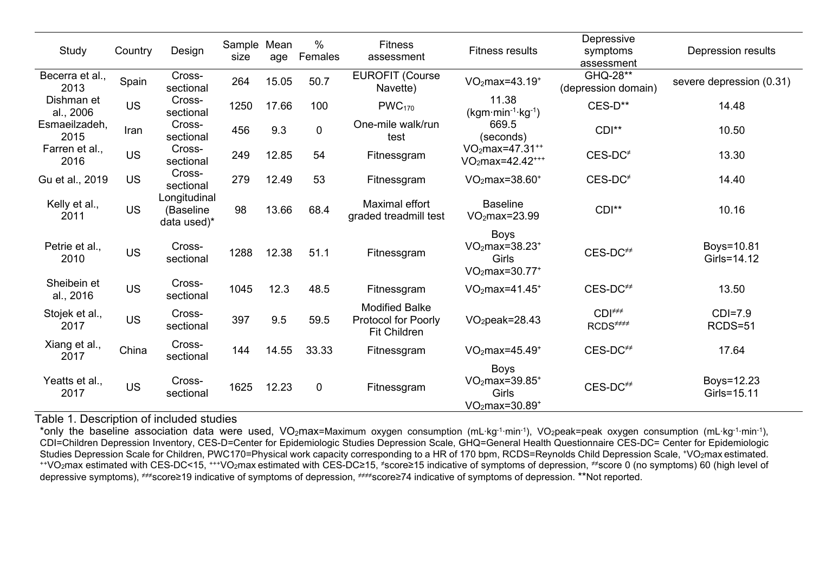| Study                    | Country   | Design                                   | Sample Mean<br>size | age   | $\%$<br>Females | <b>Fitness</b><br>assessment                                               | <b>Fitness results</b>                                            | Depressive<br>symptoms<br>assessment           | Depression results        |
|--------------------------|-----------|------------------------------------------|---------------------|-------|-----------------|----------------------------------------------------------------------------|-------------------------------------------------------------------|------------------------------------------------|---------------------------|
| Becerra et al.,<br>2013  | Spain     | Cross-<br>sectional                      | 264                 | 15.05 | 50.7            | <b>EUROFIT (Course</b><br>Navette)                                         | $VO2max=43.19+$                                                   | GHQ-28**<br>(depression domain)                | severe depression (0.31)  |
| Dishman et<br>al., 2006  | <b>US</b> | Cross-<br>sectional                      | 1250                | 17.66 | 100             | PWC <sub>170</sub>                                                         | 11.38<br>$(kgm·min-1·kg-1)$                                       | CES-D**                                        | 14.48                     |
| Esmaeilzadeh,<br>2015    | Iran      | Cross-<br>sectional                      | 456                 | 9.3   | $\mathbf 0$     | One-mile walk/run<br>test                                                  | 669.5<br>(seconds)                                                | $CDI**$                                        | 10.50                     |
| Farren et al.,<br>2016   | <b>US</b> | Cross-<br>sectional                      | 249                 | 12.85 | 54              | Fitnessgram                                                                | VO <sub>2</sub> max=47.31 <sup>++</sup><br>$VO2max=42.42***$      | $CES-DC^*$                                     | 13.30                     |
| Gu et al., 2019          | <b>US</b> | Cross-<br>sectional                      | 279                 | 12.49 | 53              | Fitnessgram                                                                | $VO2max=38.60+$                                                   | $CES-DC$ <sup>#</sup>                          | 14.40                     |
| Kelly et al.,<br>2011    | <b>US</b> | Longitudinal<br>(Baseline<br>data used)* | 98                  | 13.66 | 68.4            | Maximal effort<br>graded treadmill test                                    | <b>Baseline</b><br>$VO2max=23.99$                                 | $CDI**$                                        | 10.16                     |
| Petrie et al.,<br>2010   | <b>US</b> | Cross-<br>sectional                      | 1288                | 12.38 | 51.1            | Fitnessgram                                                                | <b>Boys</b><br>$VO2max=38.23+$<br><b>Girls</b><br>$VO2max=30.77+$ | CES-DC <sup>##</sup>                           | Boys=10.81<br>Girls=14.12 |
| Sheibein et<br>al., 2016 | <b>US</b> | Cross-<br>sectional                      | 1045                | 12.3  | 48.5            | Fitnessgram                                                                | $VO2max=41.45+$                                                   | $CES-DC^{++}$                                  | 13.50                     |
| Stojek et al.,<br>2017   | <b>US</b> | Cross-<br>sectional                      | 397                 | 9.5   | 59.5            | <b>Modified Balke</b><br><b>Protocol for Poorly</b><br><b>Fit Children</b> | $VO2peak=28.43$                                                   | $CDI^{\neq \neq}$<br>$RCDS^{\neq\neq\neq\neq}$ | $CDI=7.9$<br>RCDS=51      |
| Xiang et al.,<br>2017    | China     | Cross-<br>sectional                      | 144                 | 14.55 | 33.33           | Fitnessgram                                                                | $VO2max=45.49+$                                                   | CES-DC <sup>##</sup>                           | 17.64                     |
| Yeatts et al.,<br>2017   | <b>US</b> | Cross-<br>sectional                      | 1625                | 12.23 | $\mathbf 0$     | Fitnessgram                                                                | <b>Boys</b><br>$VO2max=39.85+$<br>Girls<br>$VO2max=30.89+$        | CES-DC <sup>##</sup>                           | Boys=12.23<br>Girls=15.11 |

Table 1. Description of included studies

\*only the baseline association data were used, VO<sub>2</sub>max=Maximum oxygen consumption (mL∙kg<sup>-1</sup>∙min<sup>-1</sup>), VO<sub>2</sub>peak=peak oxygen consumption (mL·kg<sup>-1</sup>·min<sup>-1</sup>), CDI=Children Depression Inventory, CES-D=Center for Epidemiologic Studies Depression Scale, GHQ=General Health Questionnaire CES-DC= Center for Epidemiologic Studies Depression Scale for Children, PWC170=Physical work capacity corresponding to a HR of 170 bpm, RCDS=Reynolds Child Depression Scale, +VO2max estimated. ++VO2max estimated with CES-DC<15, +++VO2max estimated with CES-DC≥15, <sup>≠</sup>score≥15 indicative of symptoms of depression, ≠≠score 0 (no symptoms) 60 (high level of depressive symptoms), ≠≠≠score≥19 indicative of symptoms of depression, ≠≠≠≠score≥74 indicative of symptoms of depression. \*\*Not reported.